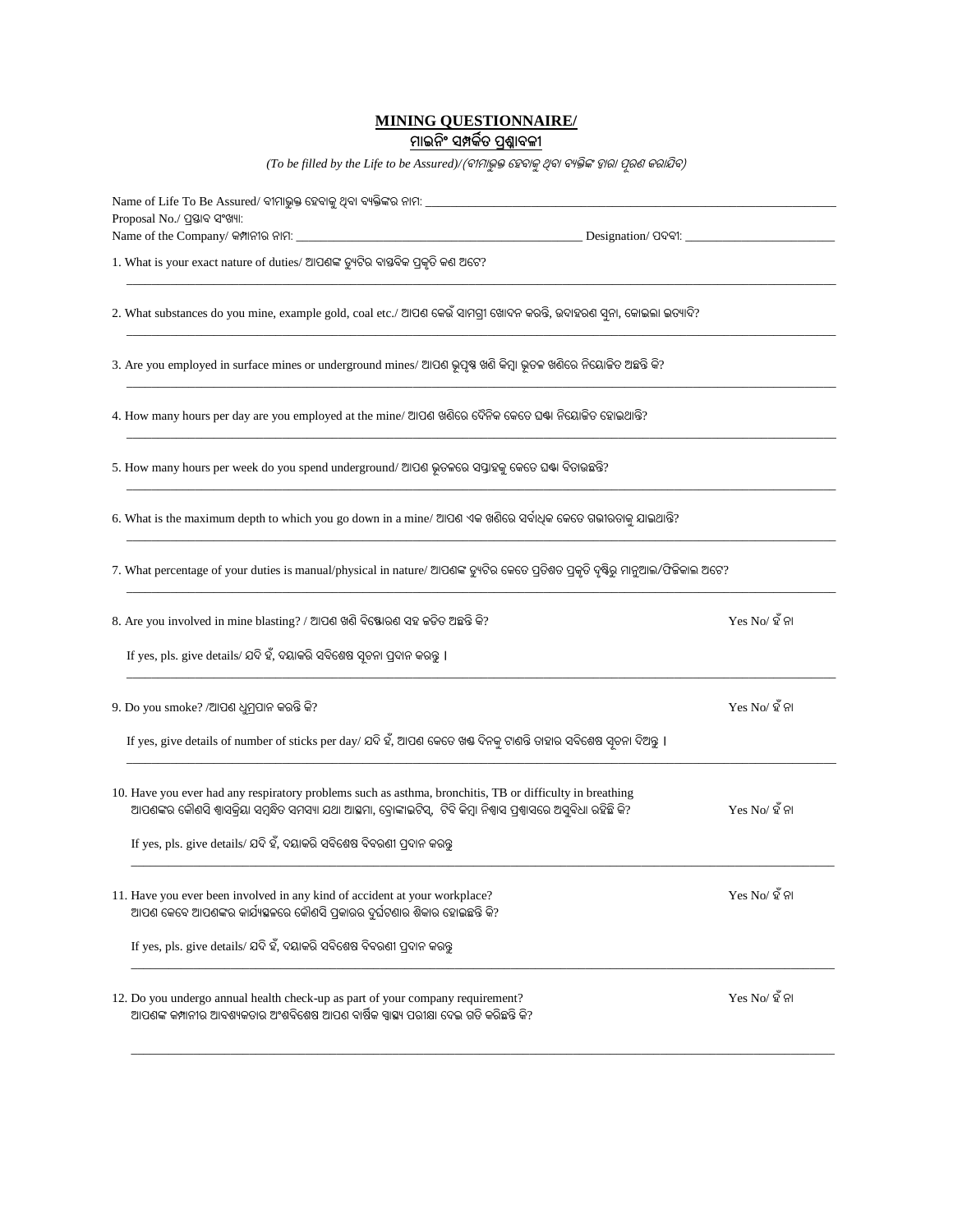## **MINING QUESTIONNAIRE/**

## **ମାଇନ ିଂ ସମ୍ପର୍କିତ ପ୍ରଶ୍ନାବଳୀ**

(To be filled by the Life to be Assured)/(ବୀମାଭୁକ୍ତ ହେବାକୁ ଥିବା ବ୍ୟକ୍ତିଙ୍କ ଦ୍ୱାରା ପୂରଶ କରାଯିବ)

| Proposal No./ ପ୍ରସ୍ତାବ ସଂଖ୍ୟା:                                                                                                                                                                                                      |                  |  |  |  |  |
|-------------------------------------------------------------------------------------------------------------------------------------------------------------------------------------------------------------------------------------|------------------|--|--|--|--|
|                                                                                                                                                                                                                                     |                  |  |  |  |  |
| 1. What is your exact nature of duties/ ଆପଶଙ୍କ ଡ୍ୟୁଟିର ବାଷ୍ତବିକ ପ୍ରକୃତି କଶ ଅଟେ?                                                                                                                                                     |                  |  |  |  |  |
| 2. What substances do you mine, example gold, coal etc./ ଆପଶ କେଉଁ ସାମଗ୍ରୀ ଖୋଦନ କରନ୍ତି, ଉଦାହରଣ ସୁନା, କୋଇଲା ଇତ୍ୟାଦି?                                                                                                                  |                  |  |  |  |  |
| 3. Are you employed in surface mines or underground mines/ ଆପଶ ଭୂପୃଷ୍ଠ ଖଣି କିମ୍ବା ଭୂତଳ ଖଣିରେ ନିୟୋଜିତ ଅଛନ୍ତି କି?                                                                                                                     |                  |  |  |  |  |
| 4. How many hours per day are you employed at the mine/ ଆପଶ ଖଶିରେ ଦୈନିକ କେତେ ଘଷ୍ଟା ନିୟୋକିତ ହୋଇଥାନ୍ତି?                                                                                                                               |                  |  |  |  |  |
| 5. How many hours per week do you spend underground/ ଆପଣ ଭୂତଳରେ ସପ୍ତାହକୁ କେତେ ଘଷ୍ଟା ବିତାଉଛନ୍ତି?                                                                                                                                     |                  |  |  |  |  |
| 6. What is the maximum depth to which you go down in a mine/ ଆପଶ ଏକ ଖଣିରେ ସର୍ବାଧିକ କେତେ ଗଭୀରତାକୁ ଯାଇଥାନ୍ତି?                                                                                                                         |                  |  |  |  |  |
| 7. What percentage of your duties is manual/physical in nature/ ଆପଶଙ୍କ ଡ୍ୟୁଟିର କେତେ ପୁତିଶତ ପ୍ରକୃତି ଦୃଷ୍ଟିରୁ ମାନୁଆଲ/ଫିଜିକାଲ ଅଟେ?                                                                                                     |                  |  |  |  |  |
| 8. Are you involved in mine blasting? / ଆପଶ ଖଣି ବିଷ୍ଟୋରଶ ସହ କଡିତ ଅଛନ୍ତି କି?                                                                                                                                                         | $Yes No/$ ହ ଁ ନା |  |  |  |  |
| If yes, pls. give details/ ଯଦି ହଁ, ଦୟାକରି ସବିଶେଷ ସ୍ୱଚନା ପ୍ରଦାନ କରନ୍ତୁ ।                                                                                                                                                             |                  |  |  |  |  |
| 9. Do you smoke? /ଆପଶ ଧୁମ୍ରପାନ କରନ୍ତି କି?                                                                                                                                                                                           | $Yes No/$ ହ ଁ ନା |  |  |  |  |
| If yes, give details of number of sticks per day/ ଯଦି ହଁ, ଆପଶ କେତେ ଖକ୍ତ ଦିନକୁ ଟାଶନ୍ତି ତାହାର ସବିଶେଷ ସ୍ୱଚନା ଦିଅନ୍ତୁ ।                                                                                                                 |                  |  |  |  |  |
| 10. Have you ever had any respiratory problems such as asthma, bronchitis, TB or difficulty in breathing<br>ଆପଶଙ୍କର କୌଶସି ଶ୍ୱାସକ୍ରିୟା ସମ୍ବନ୍ଧିତ ସମସ୍ୟା ଯଥା ଆହ୍ମମା, ବ୍ରୋଙ୍କାଇଟିସ୍,  ଟିବି କିମ୍ବା ନିଶ୍ୱାସ ପ୍ରଶ୍ୱାସରେ ଅସୁବିଧା ରହିଛି କି? | $Yes No/$ ହ ଁ ନା |  |  |  |  |
| If yes, pls. give details/ ଯଦି ହଁ, ଦୟାକରି ସବିଶେଷ ବିବରଣୀ ପ୍ରଦାନ କରନ୍ତ                                                                                                                                                                |                  |  |  |  |  |
| 11. Have you ever been involved in any kind of accident at your workplace?<br>ଆପଶ କେବେ ଆପଶଙ୍କର କାର୍ଯ୍ୟସ୍କଳରେ କୌଶସି ପ୍ରକାରର ଦୁର୍ଘଟଣାର ଶିକାର ହୋଇଛନ୍ତି କି?                                                                             | $Yes No/$ ହ ଁ ନା |  |  |  |  |
| If yes, pls. give details/ ଯଦି ହଁ, ଦୟାକରି ସବିଶେଷ ବିବରଣୀ ପ୍ରଦାନ କରନ୍ତୁ                                                                                                                                                               |                  |  |  |  |  |
| 12. Do you undergo annual health check-up as part of your company requirement?<br>ଆପଶଙ୍କ କମ୍ପାନୀର ଆବଶ୍ୟକତାର ଅଂଶବିଶେଷ ଆପଶ ବାର୍ଷିକ ସ୍ୱାସ୍ଥ୍ୟ ପରୀକ୍ଷା ଦେଇ ଗତି କରିଛନ୍ତି କି?                                                             | $Yes No/$ ହ ଁ ନା |  |  |  |  |

\_\_\_\_\_\_\_\_\_\_\_\_\_\_\_\_\_\_\_\_\_\_\_\_\_\_\_\_\_\_\_\_\_\_\_\_\_\_\_\_\_\_\_\_\_\_\_\_\_\_\_\_\_\_\_\_\_\_\_\_\_\_\_\_\_\_\_\_\_\_\_\_\_\_\_\_\_\_\_\_\_\_\_\_\_\_\_\_\_\_\_\_\_\_\_\_\_\_\_\_\_\_\_\_\_\_\_\_\_\_\_\_\_